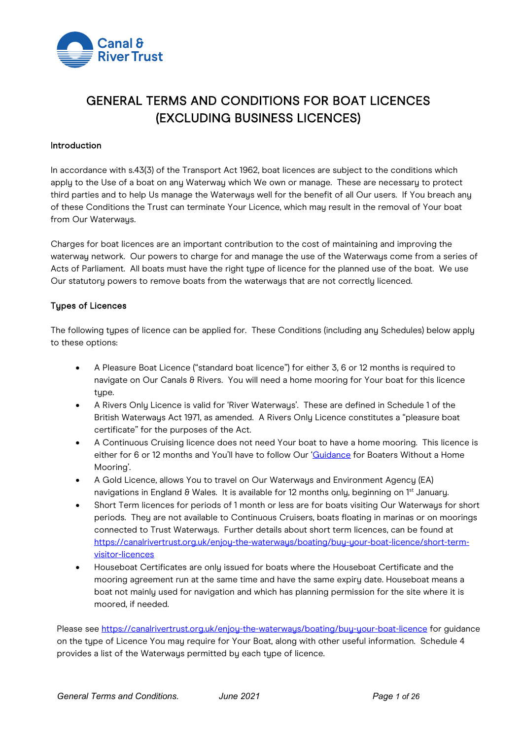

# GENERAL TERMS AND CONDITIONS FOR BOAT LICENCES (EXCLUDING BUSINESS LICENCES)

#### **Introduction**

In accordance with s.43(3) of the Transport Act 1962, boat licences are subject to the conditions which apply to the Use of a boat on any Waterway which We own or manage. These are necessary to protect third parties and to help Us manage the Waterways well for the benefit of all Our users. If You breach any of these Conditions the Trust can terminate Your Licence, which may result in the removal of Your boat from Our Waterways.

Charges for boat licences are an important contribution to the cost of maintaining and improving the waterway network. Our powers to charge for and manage the use of the Waterways come from a series of Acts of Parliament. All boats must have the right type of licence for the planned use of the boat. We use Our statutory powers to remove boats from the waterways that are not correctly licenced.

#### Types of Licences

The following types of licence can be applied for. These Conditions (including any Schedules) below apply to these options:

- A Pleasure Boat Licence ("standard boat licence") for either 3, 6 or 12 months is required to navigate on Our Canals & Rivers. You will need a home mooring for Your boat for this licence type.
- A Rivers Only Licence is valid for 'River Waterways'. These are defined in Schedule 1 of the British Waterways Act 1971, as amended. A Rivers Only Licence constitutes a "pleasure boat certificate" for the purposes of the Act.
- A Continuous Cruising licence does not need Your boat to have a home mooring. This licence is either for 6 or 12 months and You'll have to follow Our ['Guidance](https://canalrivertrust.org.uk/media/original/633-guidance-for-boaters-without-a-home-mooring.pdf?v=09041e) for Boaters Without a Home Mooring'.
- A Gold Licence, allows You to travel on Our Waterways and Environment Agency (EA) navigations in England & Wales. It is available for 12 months only, beginning on 1<sup>st</sup> January.
- Short Term licences for periods of 1 month or less are for boats visiting Our Waterwaus for short periods. They are not available to Continuous Cruisers, boats floating in marinas or on moorings connected to Trust Waterways. Further details about short term licences, can be found at [https://canalrivertrust.org.uk/enjoy-the-waterways/boating/buy-your-boat-licence/short-term](https://canalrivertrust.org.uk/enjoy-the-waterways/boating/buy-your-boat-licence/short-term-visitor-licences)[visitor-licences](https://canalrivertrust.org.uk/enjoy-the-waterways/boating/buy-your-boat-licence/short-term-visitor-licences)
- Houseboat Certificates are only issued for boats where the Houseboat Certificate and the mooring agreement run at the same time and have the same expiry date. Houseboat means a boat not mainly used for navigation and which has planning permission for the site where it is moored, if needed.

Please see https://canalrivertrust.org.uk/enjou-the-waterways/boating/buy-your-boat-licence for guidance on the type of Licence You may require for Your Boat, along with other useful information. Schedule 4 provides a list of the Waterways permitted by each type of licence.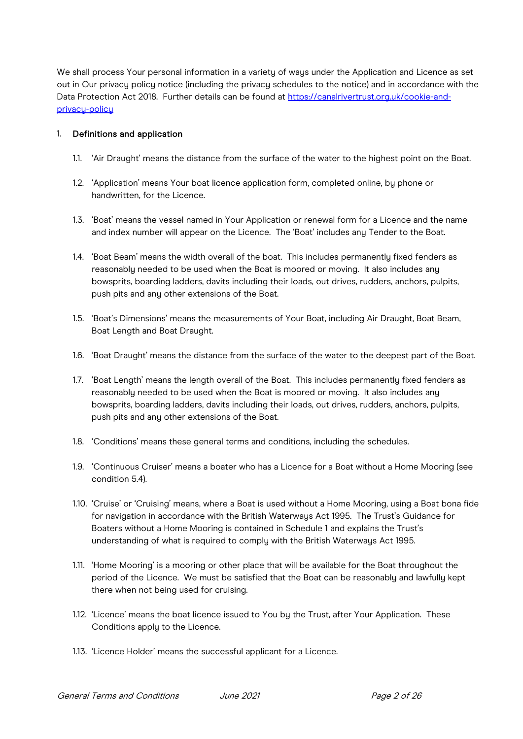We shall process Your personal information in a variety of ways under the Application and Licence as set out in Our privacy policy notice (including the privacy schedules to the notice) and in accordance with the Data Protection Act 2018. Further details can be found at [https://canalrivertrust.org.uk/cookie-and](https://canalrivertrust.org.uk/cookie-and-privacy-policy)privacu-policu

## 1. Definitions and application

- 1.1. 'Air Draught' means the distance from the surface of the water to the highest point on the Boat.
- 1.2. 'Application' means Your boat licence application form, completed online, by phone or handwritten, for the Licence.
- 1.3. 'Boat' means the vessel named in Your Application or renewal form for a Licence and the name and index number will appear on the Licence. The 'Boat' includes any Tender to the Boat.
- 1.4. 'Boat Beam' means the width overall of the boat. This includes permanently fixed fenders as reasonably needed to be used when the Boat is moored or moving. It also includes any bowsprits, boarding ladders, davits including their loads, out drives, rudders, anchors, pulpits, push pits and any other extensions of the Boat.
- 1.5. 'Boat's Dimensions' means the measurements of Your Boat, including Air Draught, Boat Beam, Boat Length and Boat Draught.
- 1.6. 'Boat Draught' means the distance from the surface of the water to the deepest part of the Boat.
- 1.7. 'Boat Length' means the length overall of the Boat. This includes permanently fixed fenders as reasonably needed to be used when the Boat is moored or moving. It also includes any bowsprits, boarding ladders, davits including their loads, out drives, rudders, anchors, pulpits, push pits and any other extensions of the Boat.
- 1.8. 'Conditions' means these general terms and conditions, including the schedules.
- 1.9. 'Continuous Cruiser' means a boater who has a Licence for a Boat without a Home Mooring (see condition 5.4).
- 1.10. 'Cruise' or 'Cruising' means, where a Boat is used without a Home Mooring, using a Boat bona fide for navigation in accordance with the British Waterways Act 1995. The Trust's Guidance for Boaters without a Home Mooring is contained in Schedule 1 and explains the Trust's understanding of what is required to comply with the British Waterways Act 1995.
- 1.11. 'Home Mooring' is a mooring or other place that will be available for the Boat throughout the period of the Licence. We must be satisfied that the Boat can be reasonably and lawfully kept there when not being used for cruising.
- 1.12. 'Licence' means the boat licence issued to You by the Trust, after Your Application. These Conditions apply to the Licence.
- 1.13. 'Licence Holder' means the successful applicant for a Licence.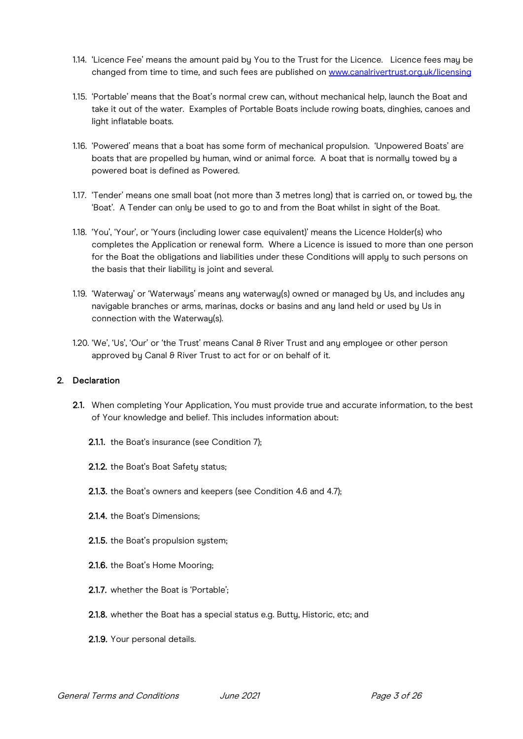- 1.14. 'Licence Fee' means the amount paid by You to the Trust for the Licence. Licence fees may be changed from time to time, and such fees are published on [www.canalrivertrust.org.uk/licensing](http://www.canalrivertrust.org.uk/licensing)
- 1.15. 'Portable' means that the Boat's normal crew can, without mechanical help, launch the Boat and take it out of the water. Examples of Portable Boats include rowing boats, dinghies, canoes and light inflatable boats.
- 1.16. 'Powered' means that a boat has some form of mechanical propulsion. 'Unpowered Boats' are boats that are propelled by human, wind or animal force. A boat that is normally towed by a powered boat is defined as Powered.
- 1.17. 'Tender' means one small boat (not more than 3 metres long) that is carried on, or towed by, the 'Boat'. A Tender can only be used to go to and from the Boat whilst in sight of the Boat.
- 1.18. 'You', 'Your', or 'Yours (including lower case equivalent)' means the Licence Holder(s) who completes the Application or renewal form. Where a Licence is issued to more than one person for the Boat the obligations and liabilities under these Conditions will apply to such persons on the basis that their liability is joint and several.
- 1.19. 'Waterway' or 'Waterways' means any waterway(s) owned or managed by Us, and includes any navigable branches or arms, marinas, docks or basins and any land held or used by Us in connection with the Waterway(s).
- 1.20. 'We', 'Us', 'Our' or 'the Trust' means Canal & River Trust and any employee or other person approved by Canal & River Trust to act for or on behalf of it.

## 2. Declaration

- 2.1. When completing Your Application, You must provide true and accurate information, to the best of Your knowledge and belief. This includes information about:
	- 2.1.1. the Boat's insurance (see Condition 7);
	- 2.1.2. the Boat's Boat Safety status;
	- 2.1.3. the Boat's owners and keepers (see Condition 4.6 and 4.7);
	- 2.1.4. the Boat's Dimensions;
	- 2.1.5. the Boat's propulsion system;
	- 2.1.6. the Boat's Home Mooring;
	- 2.1.7. whether the Boat is 'Portable';
	- 2.1.8. whether the Boat has a special status e.g. Butty, Historic, etc; and
	- 2.1.9. Your personal details.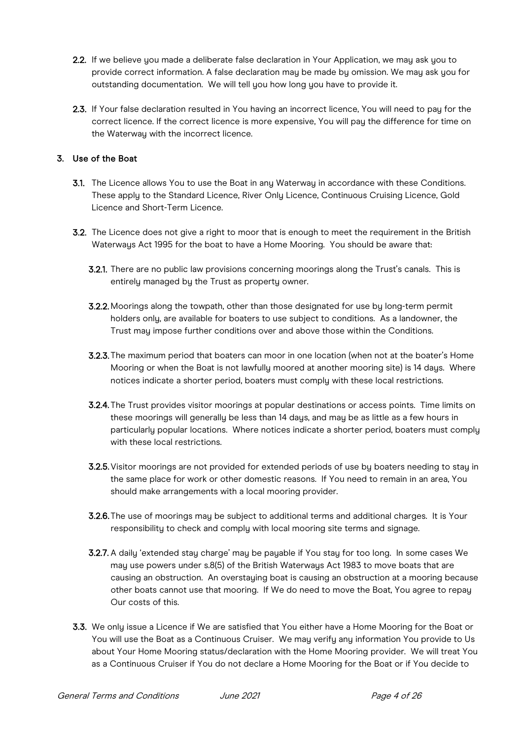- 2.2. If we believe you made a deliberate false declaration in Your Application, we may ask you to provide correct information. A false declaration may be made by omission. We may ask you for outstanding documentation. We will tell you how long you have to provide it.
- 2.3. If Your false declaration resulted in You having an incorrect licence, You will need to pay for the correct licence. If the correct licence is more expensive, You will pay the difference for time on the Waterway with the incorrect licence.

# 3. Use of the Boat

- 3.1. The Licence allows You to use the Boat in any Waterway in accordance with these Conditions. These apply to the Standard Licence, River Only Licence, Continuous Cruising Licence, Gold Licence and Short-Term Licence.
- 3.2. The Licence does not give a right to moor that is enough to meet the requirement in the British Waterways Act 1995 for the boat to have a Home Mooring. You should be aware that:
	- 3.2.1. There are no public law provisions concerning moorings along the Trust's canals. This is entirely managed by the Trust as property owner.
	- 3.2.2. Moorings along the towpath, other than those designated for use by long-term permit holders only, are available for boaters to use subject to conditions. As a landowner, the Trust may impose further conditions over and above those within the Conditions.
	- 3.2.3. The maximum period that boaters can moor in one location (when not at the boater's Home Mooring or when the Boat is not lawfully moored at another mooring site) is 14 days. Where notices indicate a shorter period, boaters must comply with these local restrictions.
	- 3.2.4. The Trust provides visitor moorings at popular destinations or access points. Time limits on these moorings will generally be less than 14 days, and may be as little as a few hours in particularly popular locations. Where notices indicate a shorter period, boaters must comply with these local restrictions.
	- 3.2.5.Visitor moorings are not provided for extended periods of use by boaters needing to stay in the same place for work or other domestic reasons. If You need to remain in an area, You should make arrangements with a local mooring provider.
	- **3.2.6.** The use of moorings may be subject to additional terms and additional charges. It is Your responsibility to check and comply with local mooring site terms and signage.
	- 3.2.7. A daily 'extended stay charge' may be payable if You stay for too long. In some cases We may use powers under s.8(5) of the British Waterways Act 1983 to move boats that are causing an obstruction. An overstaying boat is causing an obstruction at a mooring because other boats cannot use that mooring. If We do need to move the Boat, You agree to repay Our costs of this.
- 3.3. We only issue a Licence if We are satisfied that You either have a Home Mooring for the Boat or You will use the Boat as a Continuous Cruiser. We may verify any information You provide to Us about Your Home Mooring status/declaration with the Home Mooring provider. We will treat You as a Continuous Cruiser if You do not declare a Home Mooring for the Boat or if You decide to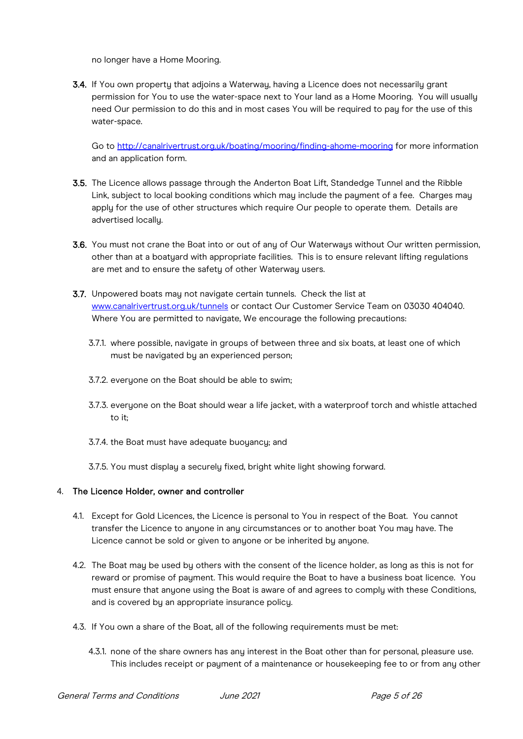no longer have a Home Mooring.

3.4. If You own property that adjoins a Waterway, having a Licence does not necessarily grant permission for You to use the water-space next to Your land as a Home Mooring. You will usually need Our permission to do this and in most cases You will be required to pay for the use of this water-space.

Go to<http://canalrivertrust.org.uk/boating/mooring/finding-ahome-mooring> for more information and an application form.

- 3.5. The Licence allows passage through the Anderton Boat Lift, Standedge Tunnel and the Ribble Link, subject to local booking conditions which may include the payment of a fee. Charges may apply for the use of other structures which require Our people to operate them. Details are advertised locally.
- 3.6. You must not crane the Boat into or out of any of Our Waterways without Our written permission, other than at a boatyard with appropriate facilities. This is to ensure relevant lifting regulations are met and to ensure the safety of other Waterway users.
- 3.7. Unpowered boats mau not navigate certain tunnels. Check the list at [www.canalrivertrust.org.uk/tunnels](http://www.canalrivertrust.org.uk/tunnels) or contact Our Customer Service Team on 03030 404040. Where You are permitted to navigate, We encourage the following precautions:
	- 3.7.1. where possible, navigate in groups of between three and six boats, at least one of which must be navigated by an experienced person;
	- 3.7.2. everuone on the Boat should be able to swim:
	- 3.7.3. everyone on the Boat should wear a life jacket, with a waterproof torch and whistle attached to it;
	- 3.7.4. the Boat must have adequate buoyancy; and
	- 3.7.5. You must display a securely fixed, bright white light showing forward.

#### 4. The Licence Holder, owner and controller

- 4.1. Except for Gold Licences, the Licence is personal to You in respect of the Boat. You cannot transfer the Licence to anyone in any circumstances or to another boat You may have. The Licence cannot be sold or given to anyone or be inherited by anyone.
- 4.2. The Boat may be used by others with the consent of the licence holder, as long as this is not for reward or promise of payment. This would require the Boat to have a business boat licence. You must ensure that anyone using the Boat is aware of and agrees to comply with these Conditions, and is covered by an appropriate insurance policy.
- 4.3. If You own a share of the Boat, all of the following requirements must be met:
	- 4.3.1. none of the share owners has any interest in the Boat other than for personal, pleasure use. This includes receipt or payment of a maintenance or housekeeping fee to or from any other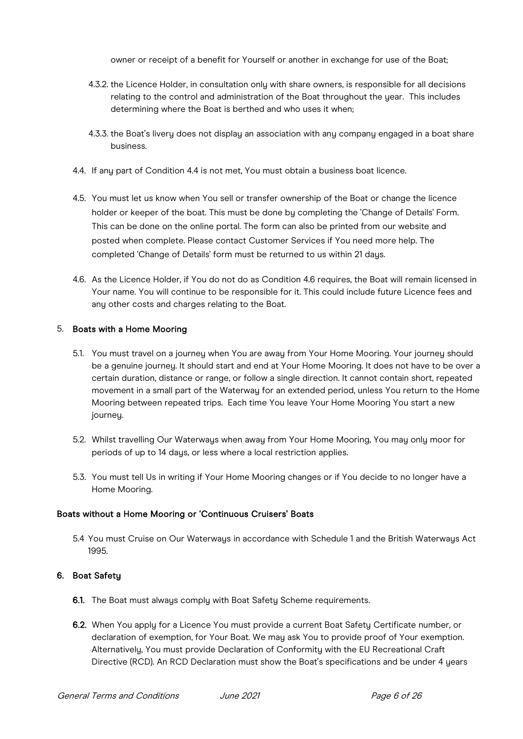owner or receipt of a benefit for Yourself or another in exchange for use of the Boat;

- 4.3.2. the Licence Holder, in consultation only with share owners, is responsible for all decisions relating to the control and administration of the Boat throughout the year. This includes determining where the Boat is berthed and who uses it when;
- 4.3.3. the Boat's livery does not display an association with any company engaged in a boat share business.
- 4.4. If any part of Condition 4.4 is not met. You must obtain a business boat licence.
- 4.5. You must let us know when You sell or transfer ownership of the Boat or change the licence holder or keeper of the boat. This must be done by completing the 'Change of Details' Form. This can be done on the online portal. The form can also be printed from our website and posted when complete. Please contact Customer Services if You need more help. The completed 'Change of Details' form must be returned to us within 21 days.
- 4.6. As the Licence Holder, if You do not do as Condition 4.6 requires, the Boat will remain licensed in Your name. You will continue to be responsible for it. This could include future Licence fees and any other costs and charges relating to the Boat.

#### 5. Boats with a Home Mooring

- 5.1. You must travel on a journey when You are away from Your Home Mooring. Your journey should be a genuine journey. It should start and end at Your Home Mooring. It does not have to be over a certain duration, distance or range, or follow a single direction. It cannot contain short, repeated movement in a small part of the Waterway for an extended period, unless You return to the Home Mooring between repeated trips. Each time You leave Your Home Mooring You start a new journey.
- 5.2. Whilst travelling Our Waterways when away from Your Home Mooring, You may only moor for periods of up to 14 days, or less where a local restriction applies.
- 5.3. You must tell Us in writing if Your Home Mooring changes or if You decide to no longer have a Home Mooring.

#### Boats without a Home Mooring or 'Continuous Cruisers' Boats

5.4 You must Cruise on Our Waterways in accordance with Schedule 1 and the British Waterways Act 1995.

#### 6. Boat Safety

- 6.1. The Boat must always comply with Boat Safety Scheme requirements.
- 6.2. When You apply for a Licence You must provide a current Boat Safety Certificate number, or declaration of exemption, for Your Boat. We may ask You to provide proof of Your exemption. Alternatively, You must provide Declaration of Conformity with the EU Recreational Craft Directive (RCD). An RCD Declaration must show the Boat's specifications and be under 4 years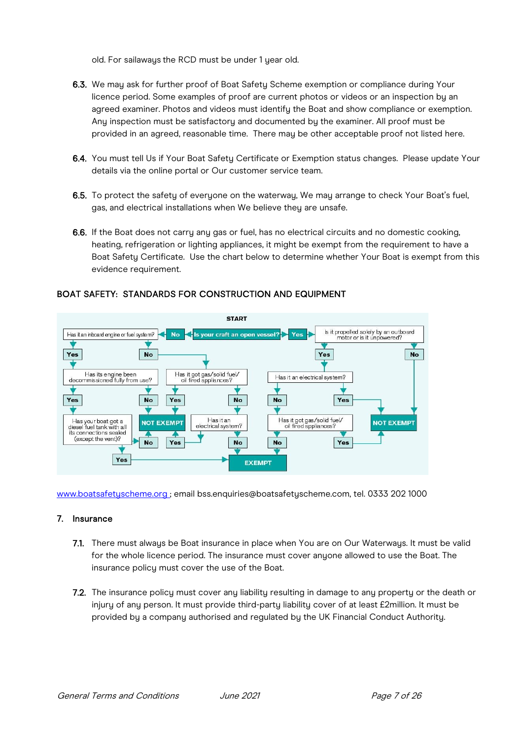old. For sailaways the RCD must be under 1 year old.

- 6.3. We may ask for further proof of Boat Safety Scheme exemption or compliance during Your licence period. Some examples of proof are current photos or videos or an inspection by an agreed examiner. Photos and videos must identify the Boat and show compliance or exemption. Any inspection must be satisfactory and documented by the examiner. All proof must be provided in an agreed, reasonable time. There may be other acceptable proof not listed here.
- 6.4. You must tell Us if Your Boat Safety Certificate or Exemption status changes. Please update Your details via the online portal or Our customer service team.
- 6.5. To protect the safety of everyone on the waterway, We may arrange to check Your Boat's fuel, gas, and electrical installations when We believe they are unsafe.
- 6.6. If the Boat does not carry any gas or fuel, has no electrical circuits and no domestic cooking, heating, refrigeration or lighting appliances, it might be exempt from the requirement to have a Boat Safety Certificate. Use the chart below to determine whether Your Boat is exempt from this evidence requirement.



# BOAT SAFETY: STANDARDS FOR CONSTRUCTION AND EQUIPMENT

[www.boatsafetyscheme.org](http://www.boatsafetyscheme.org/) ; email bss.enquiries@boatsafetyscheme.com, tel. 0333 202 1000

#### 7. Insurance

- 7.1. There must always be Boat insurance in place when You are on Our Waterways. It must be valid for the whole licence period. The insurance must cover anyone allowed to use the Boat. The insurance policy must cover the use of the Boat.
- 7.2. The insurance policy must cover any liability resulting in damage to any property or the death or injury of any person. It must provide third-party liability cover of at least £2million. It must be provided by a company authorised and regulated by the UK Financial Conduct Authority.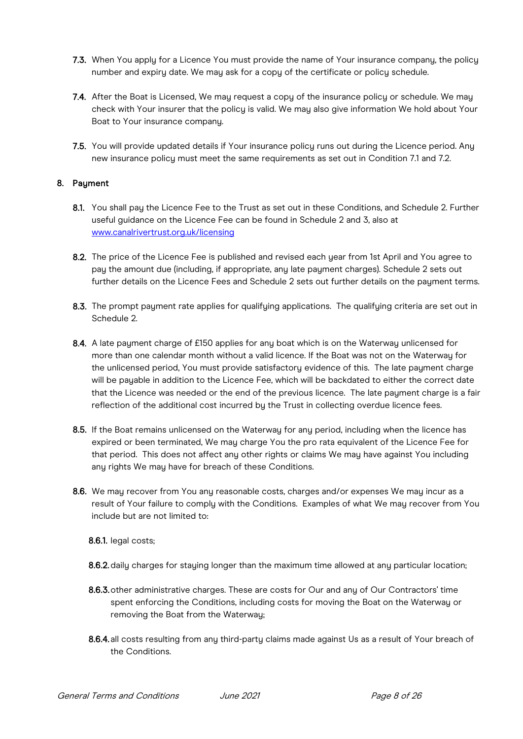- 7.3. When You apply for a Licence You must provide the name of Your insurance company, the policy number and expiry date. We may ask for a copy of the certificate or policy schedule.
- 7.4. After the Boat is Licensed, We may request a copy of the insurance policy or schedule. We may check with Your insurer that the policy is valid. We may also give information We hold about Your Boat to Your insurance company.
- 7.5. You will provide updated details if Your insurance policy runs out during the Licence period. Any new insurance policy must meet the same requirements as set out in Condition 7.1 and 7.2.

## 8. Payment

- 8.1. You shall pay the Licence Fee to the Trust as set out in these Conditions, and Schedule 2. Further useful guidance on the Licence Fee can be found in Schedule 2 and 3, also at [www.canalrivertrust.org.uk/licensing](http://www.canalrivertrust.org.uk/licensing)
- 8.2. The price of the Licence Fee is published and revised each year from 1st April and You agree to pay the amount due (including, if appropriate, any late payment charges). Schedule 2 sets out further details on the Licence Fees and Schedule 2 sets out further details on the payment terms.
- 8.3. The prompt payment rate applies for qualifying applications. The qualifying criteria are set out in Schedule 2.
- 8.4. A late payment charge of £150 applies for any boat which is on the Waterway unlicensed for more than one calendar month without a valid licence. If the Boat was not on the Waterway for the unlicensed period, You must provide satisfactory evidence of this. The late payment charge will be pauable in addition to the Licence Fee, which will be backdated to either the correct date that the Licence was needed or the end of the previous licence. The late payment charge is a fair reflection of the additional cost incurred by the Trust in collecting overdue licence fees.
- 8.5. If the Boat remains unlicensed on the Waterway for any period, including when the licence has expired or been terminated, We may charge You the pro rata equivalent of the Licence Fee for that period. This does not affect any other rights or claims We may have against You including any rights We may have for breach of these Conditions.
- 8.6. We may recover from You any reasonable costs, charges and/or expenses We may incur as a result of Your failure to comply with the Conditions. Examples of what We may recover from You include but are not limited to:

8.6.1. legal costs;

- 8.6.2. daily charges for staying longer than the maximum time allowed at any particular location;
- 8.6.3. other administrative charges. These are costs for Our and any of Our Contractors' time spent enforcing the Conditions, including costs for moving the Boat on the Waterway or removing the Boat from the Waterway;
- 8.6.4. all costs resulting from any third-party claims made against Us as a result of Your breach of the Conditions.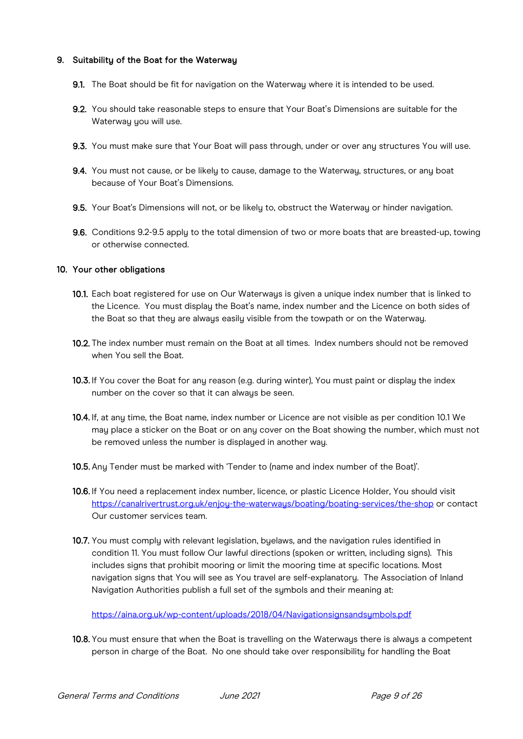## 9. Suitability of the Boat for the Waterway

- 9.1. The Boat should be fit for navigation on the Waterway where it is intended to be used.
- 9.2. You should take reasonable steps to ensure that Your Boat's Dimensions are suitable for the Waterway you will use.
- 9.3. You must make sure that Your Boat will pass through, under or over any structures You will use.
- 9.4. You must not cause, or be likely to cause, damage to the Waterway, structures, or any boat because of Your Boat's Dimensions.
- 9.5. Your Boat's Dimensions will not, or be likely to, obstruct the Waterway or hinder navigation.
- 9.6. Conditions 9.2-9.5 apply to the total dimension of two or more boats that are breasted-up, towing or otherwise connected.

#### 10. Your other obligations

- 10.1. Each boat registered for use on Our Waterways is given a unique index number that is linked to the Licence. You must display the Boat's name, index number and the Licence on both sides of the Boat so that they are always easily visible from the towpath or on the Waterway.
- 10.2. The index number must remain on the Boat at all times. Index numbers should not be removed when You sell the Boat.
- 10.3. If You cover the Boat for anu reason (e.g. during winter), You must paint or display the index number on the cover so that it can always be seen.
- 10.4. If, at any time, the Boat name, index number or Licence are not visible as per condition 10.1 We may place a sticker on the Boat or on any cover on the Boat showing the number, which must not be removed unless the number is displayed in another way.
- 10.5. Any Tender must be marked with 'Tender to (name and index number of the Boat)'.
- 10.6. If You need a replacement index number, licence, or plastic Licence Holder, You should visit <https://canalrivertrust.org.uk/enjoy-the-waterways/boating/boating-services/the-shop> or contact Our customer services team.
- 10.7. You must comply with relevant legislation, byelaws, and the navigation rules identified in condition 11. You must follow Our lawful directions (spoken or written, including signs). This includes signs that prohibit mooring or limit the mooring time at specific locations. Most navigation signs that You will see as You travel are self-explanatory. The Association of Inland Navigation Authorities publish a full set of the symbols and their meaning at:

https://aina.org.uk/wp-content/uploads/2018/04/Navigationsignsandsumbols.pdf

10.8. You must ensure that when the Boat is travelling on the Waterways there is always a competent person in charge of the Boat. No one should take over responsibility for handling the Boat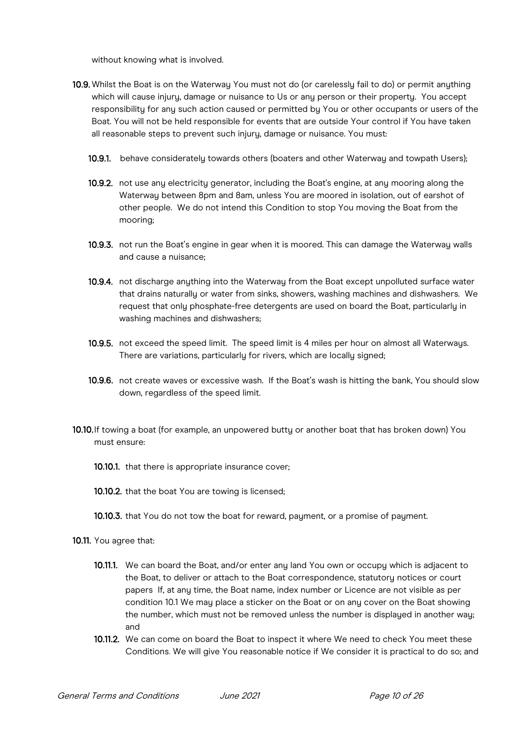without knowing what is involved.

- 10.9. Whilst the Boat is on the Waterway You must not do (or carelessly fail to do) or permit anything which will cause injury, damage or nuisance to Us or any person or their property. You accept responsibility for any such action caused or permitted by You or other occupants or users of the Boat. You will not be held responsible for events that are outside Your control if You have taken all reasonable steps to prevent such injury, damage or nuisance. You must:
	- 10.9.1. behave considerately towards others (boaters and other Waterway and towpath Users);
	- 10.9.2. not use any electricity generator, including the Boat's engine, at any mooring along the Waterway between 8pm and 8am, unless You are moored in isolation, out of earshot of other people. We do not intend this Condition to stop You moving the Boat from the mooring;
	- 10.9.3. not run the Boat's engine in gear when it is moored. This can damage the Waterway walls and cause a nuisance;
	- 10.9.4. not discharge anything into the Waterway from the Boat except unpolluted surface water that drains naturally or water from sinks, showers, washing machines and dishwashers. We request that only phosphate-free detergents are used on board the Boat, particularly in washing machines and dishwashers;
	- 10.9.5. not exceed the speed limit. The speed limit is 4 miles per hour on almost all Waterways. There are variations, particularly for rivers, which are locally signed;
	- 10.9.6. not create waves or excessive wash. If the Boat's wash is hitting the bank, You should slow down, regardless of the speed limit.
- 10.10.If towing a boat (for example, an unpowered butty or another boat that has broken down) You must ensure:
	- 10.10.1. that there is appropriate insurance cover;
	- 10.10.2. that the boat You are towing is licensed;
	- 10.10.3. that You do not tow the boat for reward, payment, or a promise of payment.
- 10.11. You agree that:
	- 10.11.1. We can board the Boat, and/or enter any land You own or occupy which is adjacent to the Boat, to deliver or attach to the Boat correspondence, statutory notices or court papers If, at any time, the Boat name, index number or Licence are not visible as per condition 10.1 We may place a sticker on the Boat or on any cover on the Boat showing the number, which must not be removed unless the number is displayed in another way; and
	- 10.11.2. We can come on board the Boat to inspect it where We need to check You meet these Conditions. We will give You reasonable notice if We consider it is practical to do so; and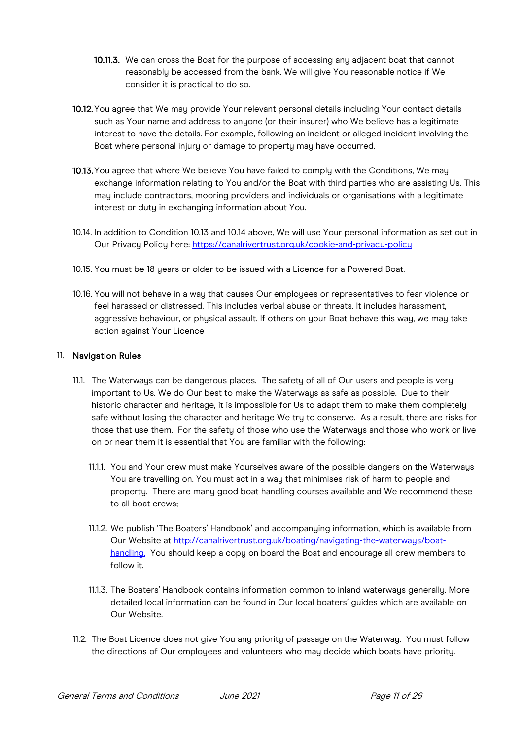- 10.11.3. We can cross the Boat for the purpose of accessing any adjacent boat that cannot reasonably be accessed from the bank. We will give You reasonable notice if We consider it is practical to do so.
- 10.12.You agree that We may provide Your relevant personal details including Your contact details such as Your name and address to anyone (or their insurer) who We believe has a legitimate interest to have the details. For example, following an incident or alleged incident involving the Boat where personal injury or damage to property may have occurred.
- 10.13. You agree that where We believe You have failed to comply with the Conditions, We may exchange information relating to You and/or the Boat with third parties who are assisting Us. This may include contractors, mooring providers and individuals or organisations with a legitimate interest or duty in exchanging information about You.
- 10.14. In addition to Condition 10.13 and 10.14 above, We will use Your personal information as set out in Our Privacy Policy here:<https://canalrivertrust.org.uk/cookie-and-privacy-policy>
- 10.15. You must be 18 years or older to be issued with a Licence for a Powered Boat.
- 10.16. You will not behave in a wau that causes Our emplouees or representatives to fear violence or feel harassed or distressed. This includes verbal abuse or threats. It includes harassment, aggressive behaviour, or physical assault. If others on your Boat behave this way, we may take action against Your Licence

## 11. Navigation Rules

- 11.1. The Waterwaus can be dangerous places. The safetu of all of Our users and people is veru important to Us. We do Our best to make the Waterways as safe as possible. Due to their historic character and heritage, it is impossible for Us to adapt them to make them completely safe without losing the character and heritage We try to conserve. As a result, there are risks for those that use them. For the safetu of those who use the Waterwaus and those who work or live on or near them it is essential that You are familiar with the following:
	- 11.1.1. You and Your crew must make Yourselves aware of the possible dangers on the Waterways You are travelling on. You must act in a way that minimises risk of harm to people and property. There are many good boat handling courses available and We recommend these to all boat crews;
	- 11.1.2. We publish 'The Boaters' Handbook' and accompanying information, which is available from Our Website at<http://canalrivertrust.org.uk/boating/navigating>[-the-waterways/boat](http://canalrivertrust.org.uk/boating/navigating-the-waterways/boat-handling)[handling.](http://canalrivertrust.org.uk/boating/navigating-the-waterways/boat-handling) You should keep a copy on board the Boat and encourage all crew members to follow it.
	- 11.1.3. The Boaters' Handbook contains information common to inland waterways generally. More detailed local information can be found in Our local boaters' guides which are available on Our Website.
- 11.2. The Boat Licence does not give You any priority of passage on the Waterway. You must follow the directions of Our employees and volunteers who may decide which boats have priority.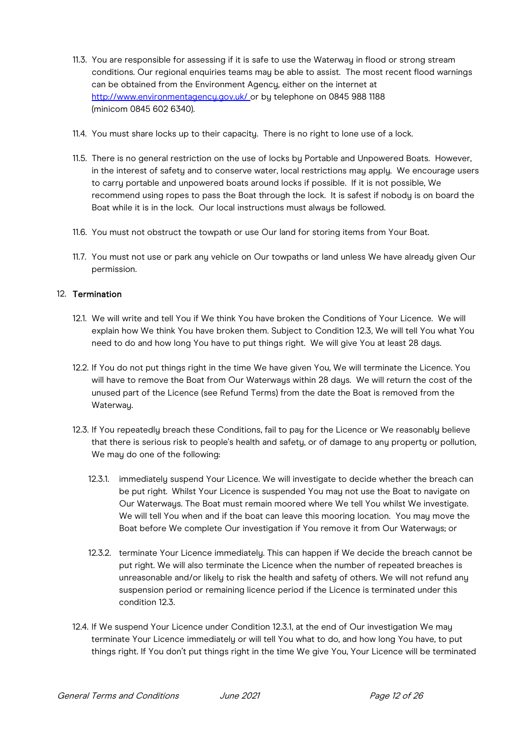- 11.3. You are responsible for assessing if it is safe to use the Waterway in flood or strong stream conditions. Our regional enquiries teams may be able to assist. The most recent flood warnings can be obtained from the Environment Agency, either on the internet at [http://www.environmentagency.gov.uk/](http://www.environment-agency.gov.uk/) or by telephone on 0845 988 1188 (minicom 0845 602 6340).
- 11.4. You must share locks up to their capacity. There is no right to lone use of a lock.
- 11.5. There is no general restriction on the use of locks by Portable and Unpowered Boats. However, in the interest of safety and to conserve water, local restrictions may apply. We encourage users to carry portable and unpowered boats around locks if possible. If it is not possible, We recommend using ropes to pass the Boat through the lock. It is safest if nobody is on board the Boat while it is in the lock. Our local instructions must always be followed.
- 11.6. You must not obstruct the towpath or use Our land for storing items from Your Boat.
- 11.7. You must not use or park any vehicle on Our towpaths or land unless We have already given Our permission.

## 12. Termination

- 12.1. We will write and tell You if We think You have broken the Conditions of Your Licence. We will explain how We think You have broken them. Subject to Condition 12.3, We will tell You what You need to do and how long You have to put things right. We will give You at least 28 days.
- 12.2. If You do not put things right in the time We have given You, We will terminate the Licence. You will have to remove the Boat from Our Waterwaus within 28 daus. We will return the cost of the unused part of the Licence (see Refund Terms) from the date the Boat is removed from the Waterway.
- 12.3. If You repeatedly breach these Conditions, fail to pay for the Licence or We reasonably believe that there is serious risk to people's health and safety, or of damage to any property or pollution, We may do one of the following:
	- 12.3.1. immediately suspend Your Licence. We will investigate to decide whether the breach can be put right. Whilst Your Licence is suspended You may not use the Boat to navigate on Our Waterways. The Boat must remain moored where We tell You whilst We investigate. We will tell You when and if the boat can leave this mooring location. You may move the Boat before We complete Our investigation if You remove it from Our Waterways; or
	- 12.3.2. terminate Your Licence immediately. This can happen if We decide the breach cannot be put right. We will also terminate the Licence when the number of repeated breaches is unreasonable and/or likely to risk the health and safety of others. We will not refund any suspension period or remaining licence period if the Licence is terminated under this condition 12.3.
- 12.4. If We suspend Your Licence under Condition 12.3.1, at the end of Our investigation We may terminate Your Licence immediately or will tell You what to do, and how long You have, to put things right. If You don't put things right in the time We give You, Your Licence will be terminated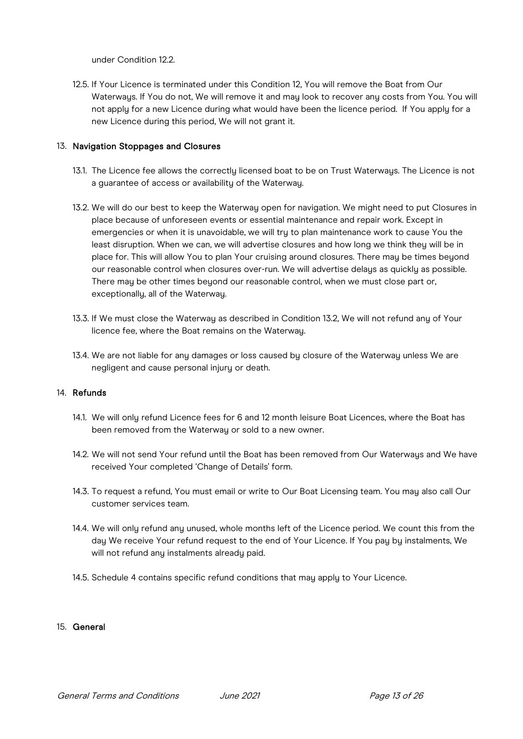under Condition 12.2.

12.5. If Your Licence is terminated under this Condition 12, You will remove the Boat from Our Waterways. If You do not, We will remove it and may look to recover any costs from You. You will not apply for a new Licence during what would have been the licence period. If You apply for a new Licence during this period, We will not grant it.

## 13. Navigation Stoppages and Closures

- 13.1. The Licence fee allows the correctly licensed boat to be on Trust Waterways. The Licence is not a guarantee of access or availability of the Waterway.
- 13.2. We will do our best to keep the Waterway open for navigation. We might need to put Closures in place because of unforeseen events or essential maintenance and repair work. Except in emergencies or when it is unavoidable, we will try to plan maintenance work to cause You the least disruption. When we can, we will advertise closures and how long we think they will be in place for. This will allow You to plan Your cruising around closures. There may be times beyond our reasonable control when closures over-run. We will advertise delays as quickly as possible. There may be other times beyond our reasonable control, when we must close part or, exceptionally, all of the Waterway.
- 13.3. If We must close the Waterway as described in Condition 13.2, We will not refund any of Your licence fee, where the Boat remains on the Waterway.
- 13.4. We are not liable for any damages or loss caused by closure of the Waterway unless We are negligent and cause personal injury or death.

#### 14. Refunds

- 14.1. We will only refund Licence fees for 6 and 12 month leisure Boat Licences, where the Boat has been removed from the Waterway or sold to a new owner.
- 14.2. We will not send Your refund until the Boat has been removed from Our Waterways and We have received Your completed 'Change of Details' form.
- 14.3. To request a refund, You must email or write to Our Boat Licensing team. You may also call Our customer services team.
- 14.4. We will only refund any unused, whole months left of the Licence period. We count this from the day We receive Your refund request to the end of Your Licence. If You pay by instalments, We will not refund any instalments already paid.
- 14.5. Schedule 4 contains specific refund conditions that may apply to Your Licence.

#### 15. General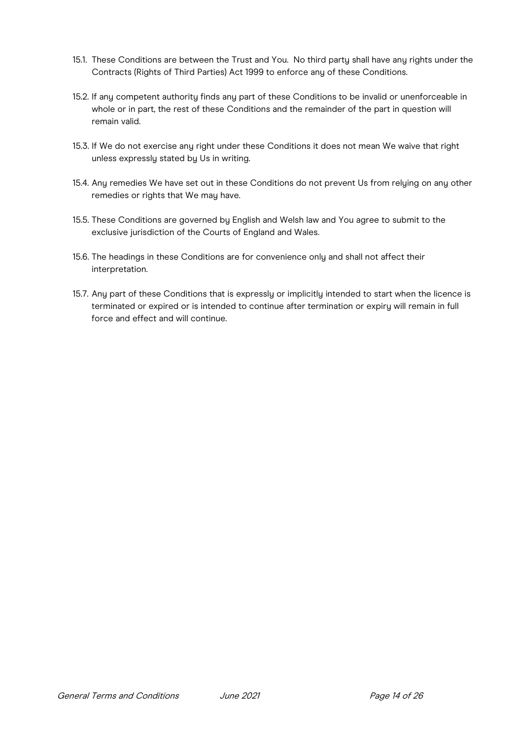- 15.1. These Conditions are between the Trust and You. No third party shall have any rights under the Contracts (Rights of Third Parties) Act 1999 to enforce any of these Conditions.
- 15.2. If any competent authority finds any part of these Conditions to be invalid or unenforceable in whole or in part, the rest of these Conditions and the remainder of the part in question will remain valid.
- 15.3. If We do not exercise any right under these Conditions it does not mean We waive that right unless expressly stated by Us in writing.
- 15.4. Any remedies We have set out in these Conditions do not prevent Us from relying on any other remedies or rights that We may have.
- 15.5. These Conditions are governed by English and Welsh law and You agree to submit to the exclusive jurisdiction of the Courts of England and Wales.
- 15.6. The headings in these Conditions are for convenience only and shall not affect their interpretation.
- 15.7. Any part of these Conditions that is expressly or implicitly intended to start when the licence is terminated or expired or is intended to continue after termination or expiry will remain in full force and effect and will continue.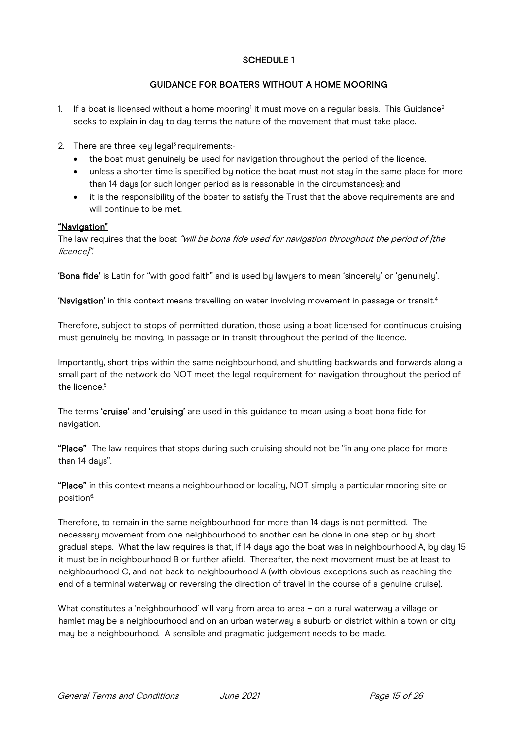# SCHEDULE 1

# GUIDANCE FOR BOATERS WITHOUT A HOME MOORING

- 1. If a boat is licensed without a home mooring<sup>1</sup> it must move on a regular basis. This Guidance<sup>2</sup> seeks to explain in day to day terms the nature of the movement that must take place.
- 2. There are three key legal<sup>3</sup> requirements:-
	- the boat must genuinely be used for navigation throughout the period of the licence.
	- unless a shorter time is specified by notice the boat must not stay in the same place for more than 14 days (or such longer period as is reasonable in the circumstances); and
	- it is the responsibility of the boater to satisfy the Trust that the above requirements are and will continue to be met.

## "Navigation"

The law requires that the boat "will be bona fide used for navigation throughout the period of [the licence]".

'Bona fide' is Latin for "with good faith" and is used by lawyers to mean 'sincerely' or 'genuinely'.

'Navigation' in this context means travelling on water involving movement in passage or transit.4

Therefore, subject to stops of permitted duration, those using a boat licensed for continuous cruising must genuinely be moving, in passage or in transit throughout the period of the licence.

Importantly, short trips within the same neighbourhood, and shuttling backwards and forwards along a small part of the network do NOT meet the legal requirement for navigation throughout the period of the licence.<sup>5</sup>

The terms 'cruise' and 'cruising' are used in this quidance to mean using a boat bona fide for navigation.

"Place" The law requires that stops during such cruising should not be "in any one place for more than 14 daus".

"Place" in this context means a neighbourhood or locality, NOT simply a particular mooring site or position<sup>6.</sup>

Therefore, to remain in the same neighbourhood for more than 14 days is not permitted. The necessary movement from one neighbourhood to another can be done in one step or by short gradual steps. What the law requires is that, if 14 days ago the boat was in neighbourhood A, by day 15 it must be in neighbourhood B or further afield. Thereafter, the next movement must be at least to neighbourhood C, and not back to neighbourhood A (with obvious exceptions such as reaching the end of a terminal waterway or reversing the direction of travel in the course of a genuine cruise).

What constitutes a 'neighbourhood' will vary from area to area – on a rural waterway a village or hamlet may be a neighbourhood and on an urban waterway a suburb or district within a town or city may be a neighbourhood. A sensible and pragmatic judgement needs to be made.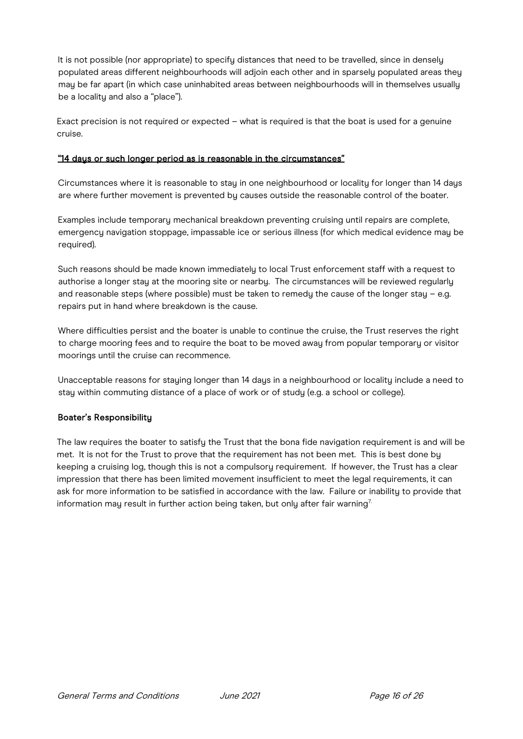It is not possible (nor appropriate) to specify distances that need to be travelled, since in densely populated areas different neighbourhoods will adjoin each other and in sparsely populated areas they may be far apart (in which case uninhabited areas between neighbourhoods will in themselves usually be a locality and also a "place").

Exact precision is not required or expected – what is required is that the boat is used for a genuine cruise.

## "14 days or such longer period as is reasonable in the circumstances"

Circumstances where it is reasonable to stay in one neighbourhood or locality for longer than 14 days are where further movement is prevented by causes outside the reasonable control of the boater.

Examples include temporary mechanical breakdown preventing cruising until repairs are complete, emergency navigation stoppage, impassable ice or serious illness (for which medical evidence may be required).

Such reasons should be made known immediately to local Trust enforcement staff with a request to authorise a longer stay at the mooring site or nearby. The circumstances will be reviewed regularly and reasonable steps (where possible) must be taken to remedy the cause of the longer stay - e.g. repairs put in hand where breakdown is the cause.

Where difficulties persist and the boater is unable to continue the cruise, the Trust reserves the right to charge mooring fees and to require the boat to be moved away from popular temporary or visitor moorings until the cruise can recommence.

Unacceptable reasons for stauing longer than 14 daus in a neighbourhood or locality include a need to stay within commuting distance of a place of work or of study (e.g. a school or college).

#### Boater's Responsibility

The law requires the boater to satisfy the Trust that the bona fide navigation requirement is and will be met. It is not for the Trust to prove that the requirement has not been met. This is best done by keeping a cruising log, though this is not a compulsory requirement. If however, the Trust has a clear impression that there has been limited movement insufficient to meet the legal requirements, it can ask for more information to be satisfied in accordance with the law. Failure or inability to provide that information may result in further action being taken, but only after fair warning<sup>7.</sup>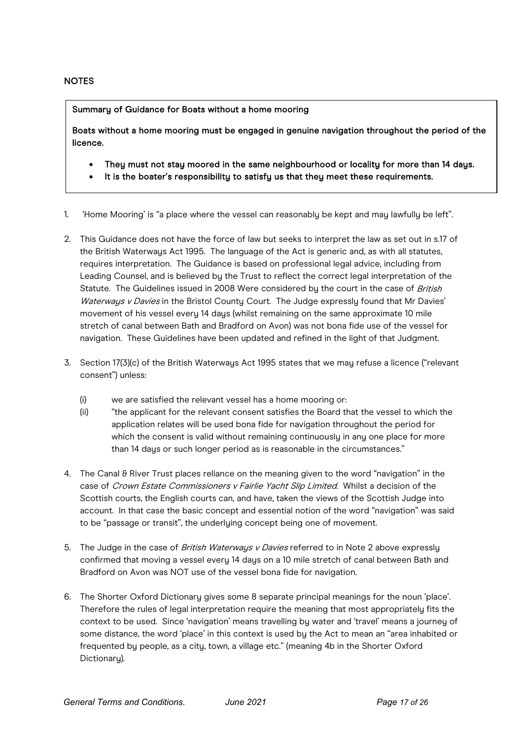## **NOTES**

Summary of Guidance for Boats without a home mooring

Boats without a home mooring must be engaged in genuine navigation throughout the period of the licence.

- They must not stay moored in the same neighbourhood or locality for more than 14 days.
- It is the boater's responsibility to satisfy us that they meet these requirements.
- 1. 'Home Mooring' is "a place where the vessel can reasonably be kept and may lawfully be left".
- 2. This Guidance does not have the force of law but seeks to interpret the law as set out in s.17 of the British Waterways Act 1995. The language of the Act is generic and, as with all statutes, requires interpretation. The Guidance is based on professional legal advice, including from Leading Counsel, and is believed bu the Trust to reflect the correct legal interpretation of the Statute. The Guidelines issued in 2008 Were considered by the court in the case of British Waterways v Davies in the Bristol County Court. The Judge expressly found that Mr Davies' movement of his vessel every 14 days (whilst remaining on the same approximate 10 mile stretch of canal between Bath and Bradford on Avon) was not bona fide use of the vessel for navigation. These Guidelines have been updated and refined in the light of that Judgment.
- 3. Section 17(3)(c) of the British Waterways Act 1995 states that we may refuse a licence ("relevant consent") unless:
	- (i) we are satisfied the relevant vessel has a home mooring or:
	- (ii) "the applicant for the relevant consent satisfies the Board that the vessel to which the application relates will be used bona fide for navigation throughout the period for which the consent is valid without remaining continuously in any one place for more than 14 days or such longer period as is reasonable in the circumstances."
- 4. The Canal & River Trust places reliance on the meaning given to the word "navigation" in the case of Crown Estate Commissioners v Fairlie Yacht Slip Limited. Whilst a decision of the Scottish courts, the English courts can, and have, taken the views of the Scottish Judge into account. In that case the basic concept and essential notion of the word "navigation" was said to be "passage or transit", the underlying concept being one of movement.
- 5. The Judge in the case of *British Waterwaus v Davies* referred to in Note 2 above expresslu confirmed that moving a vessel every 14 days on a 10 mile stretch of canal between Bath and Bradford on Avon was NOT use of the vessel bona fide for navigation.
- 6. The Shorter Oxford Dictionary gives some 8 separate principal meanings for the noun 'place'. Therefore the rules of legal interpretation require the meaning that most appropriately fits the context to be used. Since 'navigation' means travelling by water and 'travel' means a journey of some distance, the word 'place' in this context is used by the Act to mean an "area inhabited or frequented by people, as a city, town, a village etc." (meaning 4b in the Shorter Oxford Dictionary).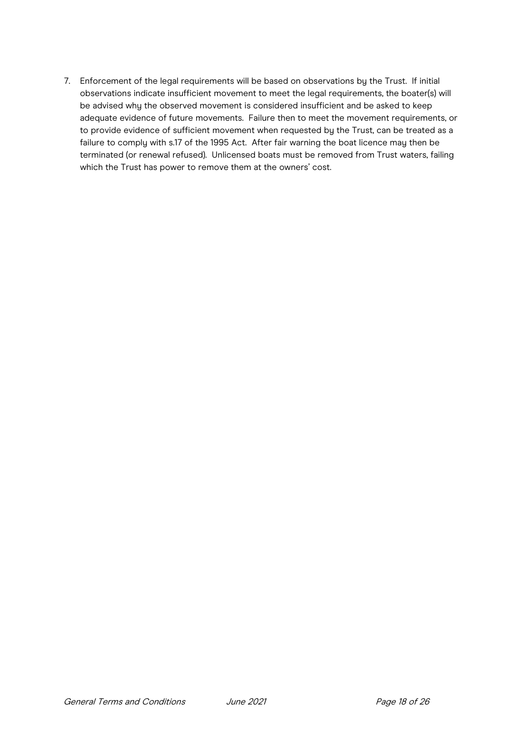7. Enforcement of the legal requirements will be based on observations by the Trust. If initial observations indicate insufficient movement to meet the legal requirements, the boater(s) will be advised why the observed movement is considered insufficient and be asked to keep adequate evidence of future movements. Failure then to meet the movement requirements, or to provide evidence of sufficient movement when requested by the Trust, can be treated as a failure to comply with s.17 of the 1995 Act. After fair warning the boat licence may then be terminated (or renewal refused). Unlicensed boats must be removed from Trust waters, failing which the Trust has power to remove them at the owners' cost.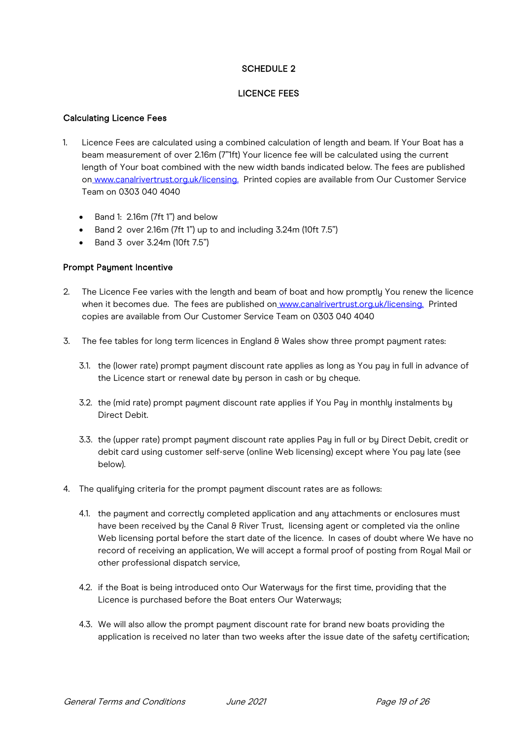# SCHEDULE 2

# LICENCE FEES

## Calculating Licence Fees

- 1. Licence Fees are calculated using a combined calculation of length and beam. If Your Boat has a beam measurement of over 2.16m (7"1ft) Your licence fee will be calculated using the current length of Your boat combined with the new width bands indicated below. The fees are published o[n](http://www.canalrivertrust.org.uk/licensing) [www.canalrivertrust.org.uk/licensing.](http://www.canalrivertrust.org.uk/licensing) Printed copies are available from Our Customer Service Team on 0303 040 4040
	- Band 1: 2.16m (7ft 1") and below
	- Band 2 over 2.16m (7ft 1") up to and including 3.24m (10ft 7.5")
	- Band 3 over 3.24m (10ft 7.5")

## Prompt Payment Incentive

- 2. The Licence Fee varies with the length and beam of boat and how promptly You renew the licence when it becomes due. The fees are published on [www.canalrivertrust.org.uk/licensing.](http://www.canalrivertrust.org.uk/licensing) Printed copies are available from Our Customer Service Team on 0303 040 4040
- 3. The fee tables for long term licences in England  $\theta$  Wales show three prompt payment rates:
	- 3.1. the (lower rate) prompt payment discount rate applies as long as You pay in full in advance of the Licence start or renewal date by person in cash or by cheque.
	- 3.2. the (mid rate) prompt payment discount rate applies if You Pay in monthly instalments by Direct Debit.
	- 3.3. the (upper rate) prompt payment discount rate applies Pay in full or by Direct Debit, credit or debit card using customer self-serve (online Web licensing) except where You pay late (see below).
- 4. The qualifying criteria for the prompt payment discount rates are as follows:
	- 4.1. the payment and correctly completed application and any attachments or enclosures must have been received by the Canal & River Trust, licensing agent or completed via the online Web licensing portal before the start date of the licence. In cases of doubt where We have no record of receiving an application, We will accept a formal proof of posting from Royal Mail or other professional dispatch service,
	- 4.2. if the Boat is being introduced onto Our Waterways for the first time, providing that the Licence is purchased before the Boat enters Our Waterways;
	- 4.3. We will also allow the prompt payment discount rate for brand new boats providing the application is received no later than two weeks after the issue date of the safety certification;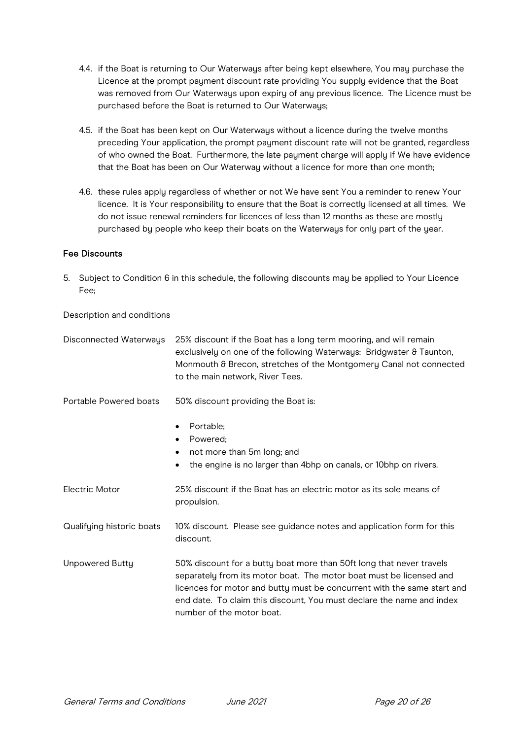- 4.4. if the Boat is returning to Our Waterways after being kept elsewhere, You may purchase the Licence at the prompt payment discount rate providing You supply evidence that the Boat was removed from Our Waterways upon expiry of any previous licence. The Licence must be purchased before the Boat is returned to Our Waterways;
- 4.5. if the Boat has been kept on Our Waterways without a licence during the twelve months preceding Your application, the prompt payment discount rate will not be granted, regardless of who owned the Boat. Furthermore, the late payment charge will apply if We have evidence that the Boat has been on Our Waterway without a licence for more than one month;
- 4.6. these rules apply regardless of whether or not We have sent You a reminder to renew Your licence. It is Your responsibility to ensure that the Boat is correctly licensed at all times. We do not issue renewal reminders for licences of less than 12 months as these are mostly purchased by people who keep their boats on the Waterways for only part of the year.

## Fee Discounts

5. Subject to Condition 6 in this schedule, the following discounts may be applied to Your Licence Fee;

Description and conditions

| Disconnected Waterways    | 25% discount if the Boat has a long term mooring, and will remain<br>exclusively on one of the following Waterways: Bridgwater & Taunton,<br>Monmouth & Brecon, stretches of the Montgomery Canal not connected<br>to the main network, River Tees.                                                                          |
|---------------------------|------------------------------------------------------------------------------------------------------------------------------------------------------------------------------------------------------------------------------------------------------------------------------------------------------------------------------|
| Portable Powered boats    | 50% discount providing the Boat is:                                                                                                                                                                                                                                                                                          |
|                           | Portable;<br>Powered;<br>$\bullet$<br>not more than 5m long; and<br>٠<br>the engine is no larger than 4bhp on canals, or 10bhp on rivers.<br>٠                                                                                                                                                                               |
| Electric Motor            | 25% discount if the Boat has an electric motor as its sole means of<br>propulsion.                                                                                                                                                                                                                                           |
| Qualifying historic boats | 10% discount. Please see guidance notes and application form for this<br>discount.                                                                                                                                                                                                                                           |
| <b>Unpowered Butty</b>    | 50% discount for a butty boat more than 50ft long that never travels<br>separately from its motor boat. The motor boat must be licensed and<br>licences for motor and butty must be concurrent with the same start and<br>end date. To claim this discount, You must declare the name and index<br>number of the motor boat. |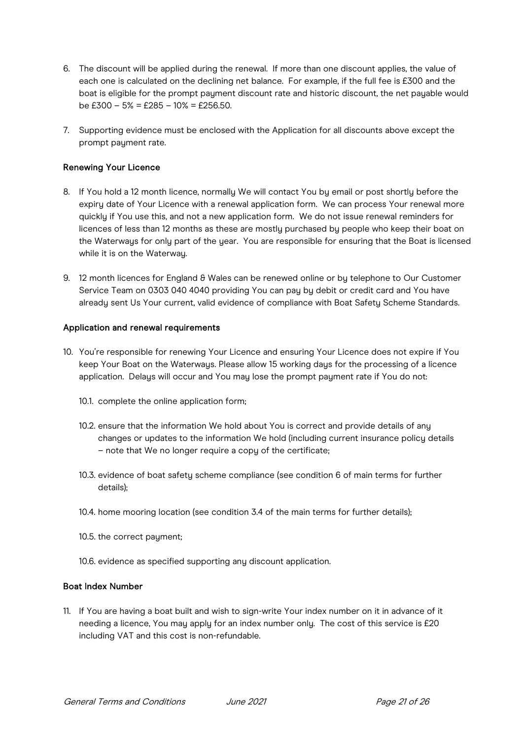- 6. The discount will be applied during the renewal. If more than one discount applies, the value of each one is calculated on the declining net balance. For example, if the full fee is £300 and the boat is eligible for the prompt payment discount rate and historic discount, the net payable would be  $£300 - 5\% = £285 - 10\% = £256.50$ .
- 7. Supporting evidence must be enclosed with the Application for all discounts above except the prompt payment rate.

## Renewing Your Licence

- 8. If You hold a 12 month licence, normally We will contact You by email or post shortly before the expiry date of Your Licence with a renewal application form. We can process Your renewal more quickly if You use this, and not a new application form. We do not issue renewal reminders for licences of less than 12 months as these are mostly purchased by people who keep their boat on the Waterways for only part of the year. You are responsible for ensuring that the Boat is licensed while it is on the Waterway.
- 9. 12 month licences for England & Wales can be renewed online or by telephone to Our Customer Service Team on 0303 040 4040 providing You can pay by debit or credit card and You have already sent Us Your current, valid evidence of compliance with Boat Safety Scheme Standards.

#### Application and renewal requirements

- 10. You're responsible for renewing Your Licence and ensuring Your Licence does not expire if You keep Your Boat on the Waterwaus. Please allow 15 working daus for the processing of a licence application. Delays will occur and You may lose the prompt payment rate if You do not:
	- 10.1. complete the online application form;
	- 10.2. ensure that the information We hold about You is correct and provide details of any changes or updates to the information We hold (including current insurance policy details – note that We no longer require a copy of the certificate;
	- 10.3. evidence of boat safety scheme compliance (see condition 6 of main terms for further details);
	- 10.4. home mooring location (see condition 3.4 of the main terms for further details);
	- 10.5. the correct paument:
	- 10.6. evidence as specified supporting any discount application.

#### Boat Index Number

11. If You are having a boat built and wish to sign-write Your index number on it in advance of it needing a licence, You may apply for an index number only. The cost of this service is £20 including VAT and this cost is non-refundable.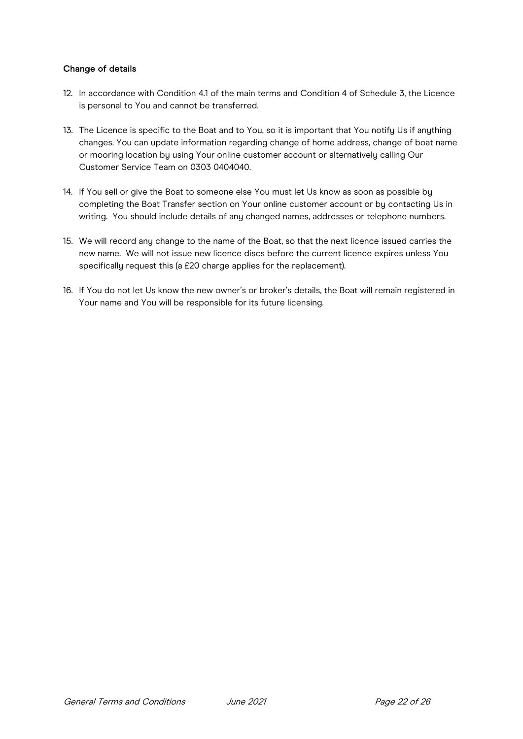# Change of details

- 12. In accordance with Condition 4.1 of the main terms and Condition 4 of Schedule 3, the Licence is personal to You and cannot be transferred.
- 13. The Licence is specific to the Boat and to You, so it is important that You notify Us if anything changes. You can update information regarding change of home address, change of boat name or mooring location by using Your online customer account or alternatively calling Our Customer Service Team on 0303 0404040.
- 14. If You sell or give the Boat to someone else You must let Us know as soon as possible by completing the Boat Transfer section on Your online customer account or by contacting Us in writing. You should include details of any changed names, addresses or telephone numbers.
- 15. We will record any change to the name of the Boat, so that the next licence issued carries the new name. We will not issue new licence discs before the current licence expires unless You specifically request this (a £20 charge applies for the replacement).
- 16. If You do not let Us know the new owner's or broker's details, the Boat will remain registered in Your name and You will be responsible for its future licensing.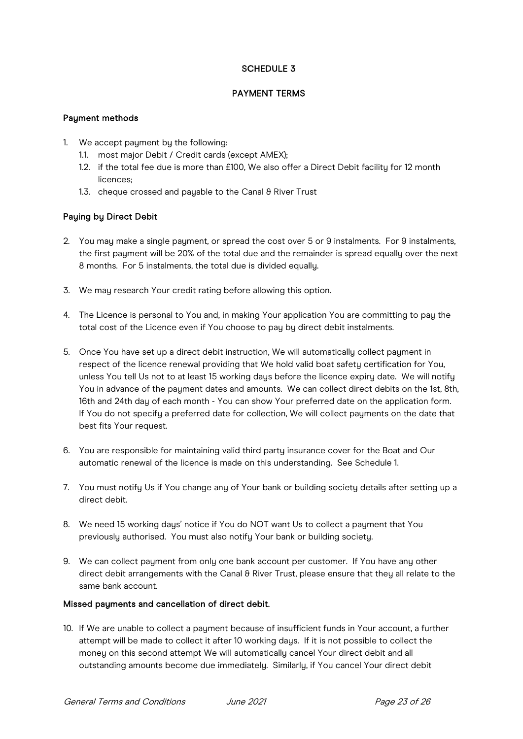# SCHEDULE 3

# PAYMENT TERMS

## Payment methods

- 1. We accept payment by the following:
	- 1.1. most major Debit / Credit cards (except AMEX);
	- 1.2. if the total fee due is more than £100, We also offer a Direct Debit facility for 12 month licences;
	- 1.3. cheque crossed and payable to the Canal & River Trust

# Paying by Direct Debit

- 2. You may make a single payment, or spread the cost over 5 or 9 instalments. For 9 instalments, the first payment will be 20% of the total due and the remainder is spread equally over the next 8 months. For 5 instalments, the total due is divided equally.
- 3. We may research Your credit rating before allowing this option.
- 4. The Licence is personal to You and, in making Your application You are committing to pay the total cost of the Licence even if You choose to pay by direct debit instalments.
- 5. Once You have set up a direct debit instruction, We will automatically collect payment in respect of the licence renewal providing that We hold valid boat safety certification for You, unless You tell Us not to at least 15 working days before the licence expiry date. We will notify You in advance of the payment dates and amounts. We can collect direct debits on the 1st, 8th, 16th and 24th dau of each month - You can show Your preferred date on the application form. If You do not specify a preferred date for collection, We will collect payments on the date that best fits Your request.
- 6. You are responsible for maintaining valid third party insurance cover for the Boat and Our automatic renewal of the licence is made on this understanding. See Schedule 1.
- 7. You must notify Us if You change any of Your bank or building society details after setting up a direct debit.
- 8. We need 15 working days' notice if You do NOT want Us to collect a payment that You previously authorised. You must also notify Your bank or building society.
- 9. We can collect payment from only one bank account per customer. If You have any other direct debit arrangements with the Canal & River Trust, please ensure that they all relate to the same bank account.

#### Missed payments and cancellation of direct debit.

10. If We are unable to collect a payment because of insufficient funds in Your account, a further attempt will be made to collect it after 10 working days. If it is not possible to collect the money on this second attempt We will automatically cancel Your direct debit and all outstanding amounts become due immediately. Similarly, if You cancel Your direct debit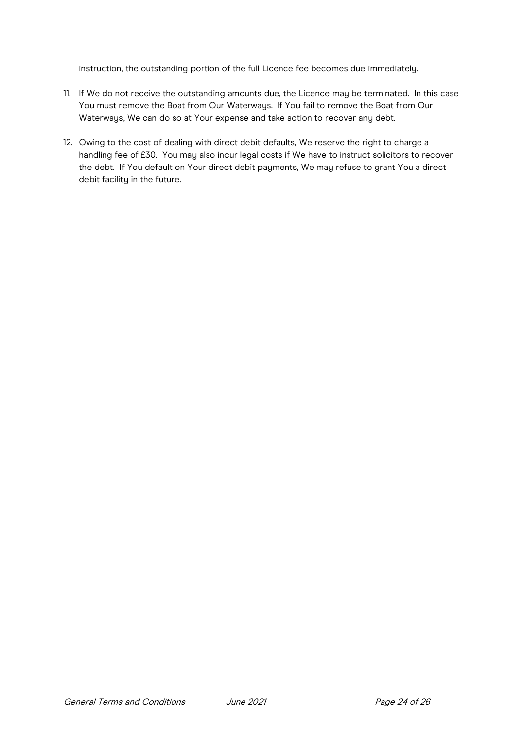instruction, the outstanding portion of the full Licence fee becomes due immediately.

- 11. If We do not receive the outstanding amounts due, the Licence may be terminated. In this case You must remove the Boat from Our Waterways. If You fail to remove the Boat from Our Waterways, We can do so at Your expense and take action to recover any debt.
- 12. Owing to the cost of dealing with direct debit defaults, We reserve the right to charge a handling fee of £30. You may also incur legal costs if We have to instruct solicitors to recover the debt. If You default on Your direct debit payments, We may refuse to grant You a direct debit facility in the future.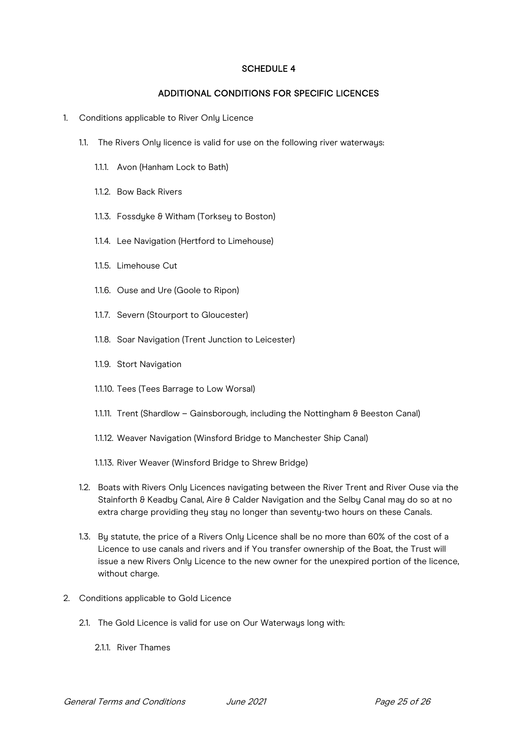## SCHEDULE 4

## ADDITIONAL CONDITIONS FOR SPECIFIC LICENCES

- 1. Conditions applicable to River Only Licence
	- 1.1. The Rivers Only licence is valid for use on the following river waterways:
		- 1.1.1. Avon (Hanham Lock to Bath)
		- 1.1.2. Bow Back Rivers
		- 1.1.3. Fossdyke & Witham (Torksey to Boston)
		- 1.1.4. Lee Navigation (Hertford to Limehouse)
		- 1.1.5. Limehouse Cut
		- 1.1.6. Ouse and Ure (Goole to Ripon)
		- 1.1.7. Severn (Stourport to Gloucester)
		- 1.1.8. Soar Navigation (Trent Junction to Leicester)
		- 1.1.9. Stort Navigation
		- 1.1.10. Tees (Tees Barrage to Low Worsal)
		- 1.1.11. Trent (Shardlow Gainsborough, including the Nottingham & Beeston Canal)
		- 1.1.12. Weaver Navigation (Winsford Bridge to Manchester Ship Canal)
		- 1.1.13. River Weaver (Winsford Bridge to Shrew Bridge)
	- 1.2. Boats with Rivers Only Licences navigating between the River Trent and River Ouse via the Stainforth & Keadby Canal, Aire & Calder Navigation and the Selby Canal may do so at no extra charge providing they stay no longer than seventy-two hours on these Canals.
	- 1.3. Bu statute, the price of a Rivers Only Licence shall be no more than 60% of the cost of a Licence to use canals and rivers and if You transfer ownership of the Boat, the Trust will issue a new Rivers Only Licence to the new owner for the unexpired portion of the licence, without charge.
- 2. Conditions applicable to Gold Licence
	- 2.1. The Gold Licence is valid for use on Our Waterwaus long with:
		- 2.1.1. River Thames